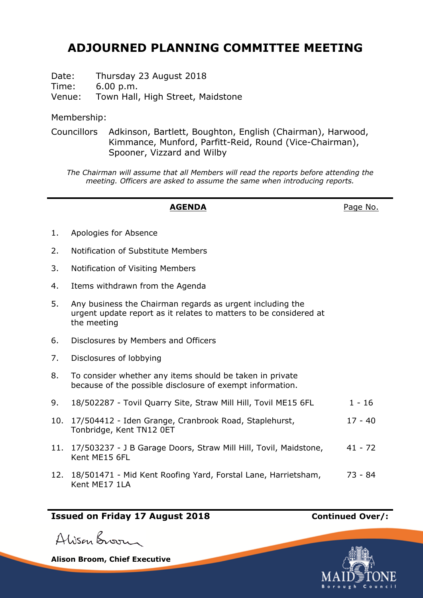# **ADJOURNED PLANNING COMMITTEE MEETING**

Date: Thursday 23 August 2018 Time: 6.00 p.m.

Venue: Town Hall, High Street, Maidstone

Membership:

Councillors Adkinson, Bartlett, Boughton, English (Chairman), Harwood, Kimmance, Munford, Parfitt-Reid, Round (Vice-Chairman), Spooner, Vizzard and Wilby

*The Chairman will assume that all Members will read the reports before attending the meeting. Officers are asked to assume the same when introducing reports.*

## **AGENDA** Page No.

- 1. Apologies for Absence
- 2. Notification of Substitute Members
- 3. Notification of Visiting Members
- 4. Items withdrawn from the Agenda
- 5. Any business the Chairman regards as urgent including the urgent update report as it relates to matters to be considered at the meeting
- 6. Disclosures by Members and Officers
- 7. Disclosures of lobbying
- 8. To consider whether any items should be taken in private because of the possible disclosure of exempt information.
- 9. 18/502287 Tovil Quarry Site, Straw Mill Hill, Tovil ME15 6FL 1 16
- 10. 17/504412 Iden Grange, Cranbrook Road, Staplehurst, Tonbridge, Kent TN12 0ET 17 - 40
- 11. 17/503237 J B Garage Doors, Straw Mill Hill, Tovil, Maidstone, Kent ME15 6FL 41 - 72
- 12. 18/501471 Mid Kent Roofing Yard, Forstal Lane, Harrietsham, Kent ME17 1LA 73 - 84

# **Issued on Friday 17 August 2018 Continued Over/:**

Alison Broom

**Alison Broom, Chief Executive**

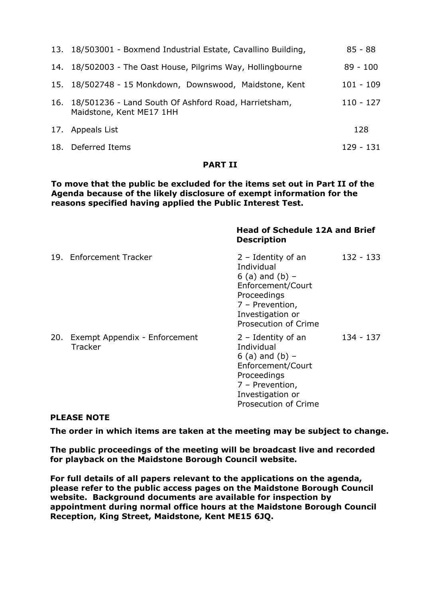| 13. 18/503001 - Boxmend Industrial Estate, Cavallino Building,                       |             |
|--------------------------------------------------------------------------------------|-------------|
| 14. 18/502003 - The Oast House, Pilgrims Way, Hollingbourne                          | $89 - 100$  |
| 15. 18/502748 - 15 Monkdown, Downswood, Maidstone, Kent                              | $101 - 109$ |
| 16. 18/501236 - Land South Of Ashford Road, Harrietsham,<br>Maidstone, Kent ME17 1HH | $110 - 127$ |
| 17. Appeals List                                                                     | 128         |
| 18. Deferred Items                                                                   | 129 - 131   |

#### **PART II**

**To move that the public be excluded for the items set out in Part II of the Agenda because of the likely disclosure of exempt information for the reasons specified having applied the Public Interest Test.**

|     |                                          | <b>Head of Schedule 12A and Brief</b><br><b>Description</b>                                                                                                |             |  |
|-----|------------------------------------------|------------------------------------------------------------------------------------------------------------------------------------------------------------|-------------|--|
|     | 19. Enforcement Tracker                  | $2 -$ Identity of an<br>Individual<br>6 (a) and (b) $-$<br>Enforcement/Court<br>Proceedings<br>7 - Prevention,<br>Investigation or<br>Prosecution of Crime | $132 - 133$ |  |
| 20. | Exempt Appendix - Enforcement<br>Tracker | $2 -$ Identity of an<br>Individual<br>6 (a) and (b) $-$<br>Enforcement/Court<br>Proceedings<br>7 - Prevention,<br>Investigation or<br>Prosecution of Crime | 134 - 137   |  |

#### **PLEASE NOTE**

**The order in which items are taken at the meeting may be subject to change.**

**The public proceedings of the meeting will be broadcast live and recorded for playback on the Maidstone Borough Council website.**

**For full details of all papers relevant to the applications on the agenda, please refer to the public access pages on the Maidstone Borough Council website. Background documents are available for inspection by appointment during normal office hours at the Maidstone Borough Council Reception, King Street, Maidstone, Kent ME15 6JQ.**